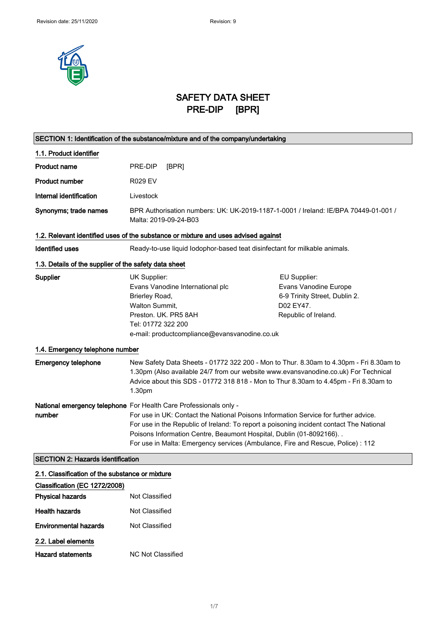

# SAFETY DATA SHEET PRE-DIP [BPR]

| SECTION 1: Identification of the substance/mixture and of the company/undertaking |                                                                                                                                                                                                                                                                                                                                                                                                                 |                                                                                                             |
|-----------------------------------------------------------------------------------|-----------------------------------------------------------------------------------------------------------------------------------------------------------------------------------------------------------------------------------------------------------------------------------------------------------------------------------------------------------------------------------------------------------------|-------------------------------------------------------------------------------------------------------------|
| 1.1. Product identifier                                                           |                                                                                                                                                                                                                                                                                                                                                                                                                 |                                                                                                             |
| <b>Product name</b>                                                               | PRE-DIP<br>[BPR]                                                                                                                                                                                                                                                                                                                                                                                                |                                                                                                             |
| <b>Product number</b>                                                             | <b>R029 EV</b>                                                                                                                                                                                                                                                                                                                                                                                                  |                                                                                                             |
| Internal identification                                                           | Livestock                                                                                                                                                                                                                                                                                                                                                                                                       |                                                                                                             |
| Synonyms; trade names                                                             | BPR Authorisation numbers: UK: UK-2019-1187-1-0001 / Ireland: IE/BPA 70449-01-001 /<br>Malta: 2019-09-24-B03                                                                                                                                                                                                                                                                                                    |                                                                                                             |
|                                                                                   | 1.2. Relevant identified uses of the substance or mixture and uses advised against                                                                                                                                                                                                                                                                                                                              |                                                                                                             |
| <b>Identified uses</b>                                                            | Ready-to-use liquid lodophor-based teat disinfectant for milkable animals.                                                                                                                                                                                                                                                                                                                                      |                                                                                                             |
| 1.3. Details of the supplier of the safety data sheet                             |                                                                                                                                                                                                                                                                                                                                                                                                                 |                                                                                                             |
| <b>Supplier</b><br>1.4. Emergency telephone number                                | UK Supplier:<br>Evans Vanodine International plc<br>Brierley Road,<br>Walton Summit,<br>Preston. UK. PR5 8AH<br>Tel: 01772 322 200<br>e-mail: productcompliance@evansvanodine.co.uk                                                                                                                                                                                                                             | EU Supplier:<br>Evans Vanodine Europe<br>6-9 Trinity Street, Dublin 2.<br>D02 EY47.<br>Republic of Ireland. |
| <b>Emergency telephone</b>                                                        | New Safety Data Sheets - 01772 322 200 - Mon to Thur. 8.30am to 4.30pm - Fri 8.30am to<br>1.30pm (Also available 24/7 from our website www.evansvanodine.co.uk) For Technical<br>Advice about this SDS - 01772 318 818 - Mon to Thur 8.30am to 4.45pm - Fri 8.30am to<br>1.30pm                                                                                                                                 |                                                                                                             |
| number                                                                            | National emergency telephone For Health Care Professionals only -<br>For use in UK: Contact the National Poisons Information Service for further advice.<br>For use in the Republic of Ireland: To report a poisoning incident contact The National<br>Poisons Information Centre, Beaumont Hospital, Dublin (01-8092166). .<br>For use in Malta: Emergency services (Ambulance, Fire and Rescue, Police) : 112 |                                                                                                             |
| <b>SECTION 2: Hazards identification</b>                                          |                                                                                                                                                                                                                                                                                                                                                                                                                 |                                                                                                             |

# 2.1. Classification of the substance or mixture

| Classification (EC 1272/2008) |                          |
|-------------------------------|--------------------------|
| <b>Physical hazards</b>       | Not Classified           |
| Health hazards                | Not Classified           |
| Environmental hazards         | Not Classified           |
| 2.2. Label elements           |                          |
| <b>Hazard statements</b>      | <b>NC Not Classified</b> |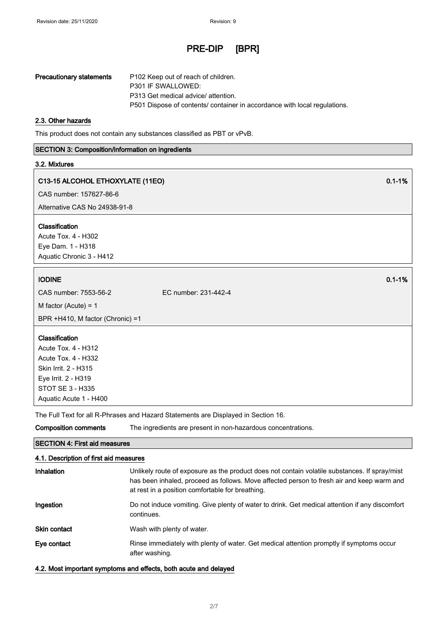| <b>Precautionary statements</b> | P102 Keep out of reach of children.                                       |
|---------------------------------|---------------------------------------------------------------------------|
|                                 | P301 IF SWALLOWED:                                                        |
|                                 | P313 Get medical advice/ attention.                                       |
|                                 | P501 Dispose of contents/ container in accordance with local regulations. |

#### 2.3. Other hazards

This product does not contain any substances classified as PBT or vPvB.

#### SECTION 3: Composition/information on ingredients

#### 3.2. Mixtures

# C13-15 ALCOHOL ETHOXYLATE (11EO) 0.1-1%

CAS number: 157627-86-6

Alternative CAS No 24938-91-8

# Classification

Acute Tox. 4 - H302 Eye Dam. 1 - H318 Aquatic Chronic 3 - H412

# IODINE  $\qquad \qquad \qquad 0.1\text{-}1\%$

CAS number: 7553-56-2 EC number: 231-442-4

M factor (Acute) = 1

BPR +H410, M factor (Chronic) =1

## Classification

Acute Tox. 4 - H312 Acute Tox. 4 - H332 Skin Irrit. 2 - H315 Eye Irrit. 2 - H319 STOT SE 3 - H335 Aquatic Acute 1 - H400

The Full Text for all R-Phrases and Hazard Statements are Displayed in Section 16.

# SECTION 4: First aid measures 4.1. Description of first aid measures Inhalation Unlikely route of exposure as the product does not contain volatile substances. If spray/mist has been inhaled, proceed as follows. Move affected person to fresh air and keep warm and at rest in a position comfortable for breathing. Ingestion **Do not induce vomiting. Give plenty of water to drink. Get medical attention if any discomfort** continues. Skin contact Wash with plenty of water. Eye contact **Rinse immediately with plenty of water. Get medical attention promptly if symptoms occur** after washing.

# 4.2. Most important symptoms and effects, both acute and delayed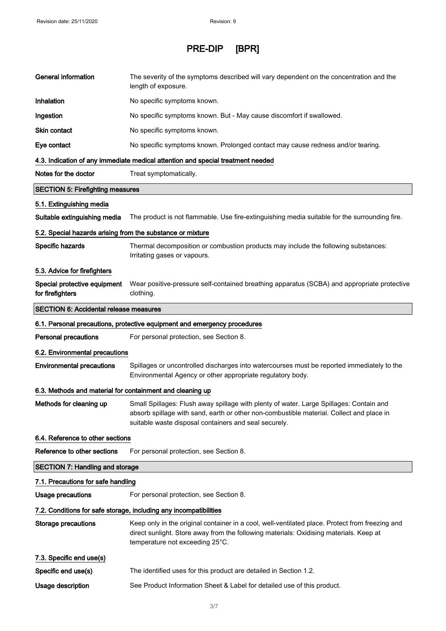| <b>General information</b>                                 | The severity of the symptoms described will vary dependent on the concentration and the<br>length of exposure.                                                                                                                               |
|------------------------------------------------------------|----------------------------------------------------------------------------------------------------------------------------------------------------------------------------------------------------------------------------------------------|
| Inhalation                                                 | No specific symptoms known.                                                                                                                                                                                                                  |
| Ingestion                                                  | No specific symptoms known. But - May cause discomfort if swallowed.                                                                                                                                                                         |
| Skin contact                                               | No specific symptoms known.                                                                                                                                                                                                                  |
| Eye contact                                                | No specific symptoms known. Prolonged contact may cause redness and/or tearing.                                                                                                                                                              |
|                                                            | 4.3. Indication of any immediate medical attention and special treatment needed                                                                                                                                                              |
| Notes for the doctor                                       | Treat symptomatically.                                                                                                                                                                                                                       |
| <b>SECTION 5: Firefighting measures</b>                    |                                                                                                                                                                                                                                              |
| 5.1. Extinguishing media                                   |                                                                                                                                                                                                                                              |
| Suitable extinguishing media                               | The product is not flammable. Use fire-extinguishing media suitable for the surrounding fire.                                                                                                                                                |
| 5.2. Special hazards arising from the substance or mixture |                                                                                                                                                                                                                                              |
| Specific hazards                                           | Thermal decomposition or combustion products may include the following substances:<br>Irritating gases or vapours.                                                                                                                           |
| 5.3. Advice for firefighters                               |                                                                                                                                                                                                                                              |
| Special protective equipment<br>for firefighters           | Wear positive-pressure self-contained breathing apparatus (SCBA) and appropriate protective<br>clothing.                                                                                                                                     |
| <b>SECTION 6: Accidental release measures</b>              |                                                                                                                                                                                                                                              |
|                                                            | 6.1. Personal precautions, protective equipment and emergency procedures                                                                                                                                                                     |
| <b>Personal precautions</b>                                | For personal protection, see Section 8.                                                                                                                                                                                                      |
| 6.2. Environmental precautions                             |                                                                                                                                                                                                                                              |
| <b>Environmental precautions</b>                           | Spillages or uncontrolled discharges into watercourses must be reported immediately to the<br>Environmental Agency or other appropriate regulatory body.                                                                                     |
| 6.3. Methods and material for containment and cleaning up  |                                                                                                                                                                                                                                              |
| Methods for cleaning up                                    | Small Spillages: Flush away spillage with plenty of water. Large Spillages: Contain and<br>absorb spillage with sand, earth or other non-combustible material. Collect and place in<br>suitable waste disposal containers and seal securely. |
| 6.4. Reference to other sections                           |                                                                                                                                                                                                                                              |
| Reference to other sections                                | For personal protection, see Section 8.                                                                                                                                                                                                      |
| <b>SECTION 7: Handling and storage</b>                     |                                                                                                                                                                                                                                              |
| 7.1. Precautions for safe handling                         |                                                                                                                                                                                                                                              |
| Usage precautions                                          | For personal protection, see Section 8.                                                                                                                                                                                                      |
|                                                            | 7.2. Conditions for safe storage, including any incompatibilities                                                                                                                                                                            |
| <b>Storage precautions</b>                                 | Keep only in the original container in a cool, well-ventilated place. Protect from freezing and<br>direct sunlight. Store away from the following materials: Oxidising materials. Keep at<br>temperature not exceeding 25°C.                 |
| 7.3. Specific end use(s)                                   |                                                                                                                                                                                                                                              |
| Specific end use(s)                                        | The identified uses for this product are detailed in Section 1.2.                                                                                                                                                                            |
|                                                            |                                                                                                                                                                                                                                              |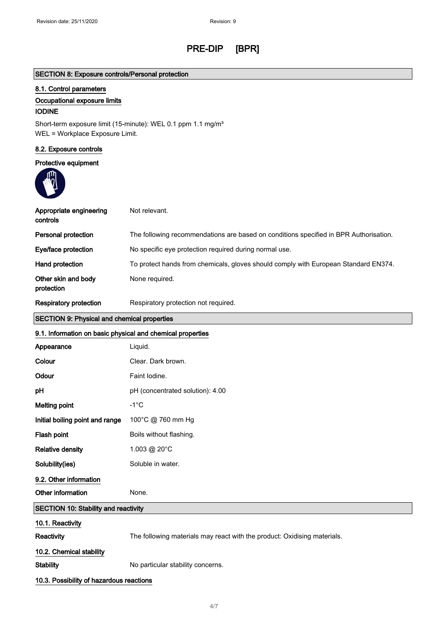# SECTION 8: Exposure controls/Personal protection

# 8.1. Control parameters

## Occupational exposure limits

## IODINE

Short-term exposure limit (15-minute): WEL 0.1 ppm 1.1 mg/m<sup>3</sup> WEL = Workplace Exposure Limit.

## 8.2. Exposure controls

# Protective equipment



| Appropriate engineering<br>controls | Not relevant.                                                                         |
|-------------------------------------|---------------------------------------------------------------------------------------|
| Personal protection                 | The following recommendations are based on conditions specified in BPR Authorisation. |
| Eye/face protection                 | No specific eye protection required during normal use.                                |
| Hand protection                     | To protect hands from chemicals, gloves should comply with European Standard EN374.   |
| Other skin and body<br>protection   | None required.                                                                        |
| Respiratory protection              | Respiratory protection not required.                                                  |

# SECTION 9: Physical and chemical properties

# 9.1. Information on basic physical and chemical properties

| Appearance                           | Liquid.                                                                  |
|--------------------------------------|--------------------------------------------------------------------------|
| Colour                               | Clear. Dark brown.                                                       |
| Odour                                | Faint Iodine.                                                            |
| pH                                   | pH (concentrated solution): 4.00                                         |
| <b>Melting point</b>                 | $-1^{\circ}$ C                                                           |
| Initial boiling point and range      | 100°C @ 760 mm Hg                                                        |
| Flash point                          | Boils without flashing.                                                  |
| <b>Relative density</b>              | 1.003 @ 20°C                                                             |
| Solubility(ies)                      | Soluble in water.                                                        |
| 9.2. Other information               |                                                                          |
| Other information                    | None.                                                                    |
| SECTION 10: Stability and reactivity |                                                                          |
| 10.1. Reactivity                     |                                                                          |
| <b>Reactivity</b>                    | The following materials may react with the product: Oxidising materials. |
| 10.2. Chemical stability             |                                                                          |
| <b>Stability</b>                     | No particular stability concerns.                                        |

## 10.3. Possibility of hazardous reactions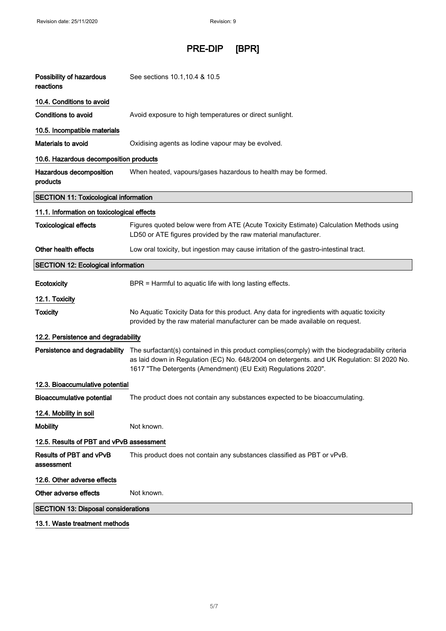| Possibility of hazardous<br>reactions        | See sections 10.1, 10.4 & 10.5                                                                                                                                                                                                                                 |
|----------------------------------------------|----------------------------------------------------------------------------------------------------------------------------------------------------------------------------------------------------------------------------------------------------------------|
| 10.4. Conditions to avoid                    |                                                                                                                                                                                                                                                                |
| Conditions to avoid                          | Avoid exposure to high temperatures or direct sunlight.                                                                                                                                                                                                        |
| 10.5. Incompatible materials                 |                                                                                                                                                                                                                                                                |
| <b>Materials to avoid</b>                    | Oxidising agents as lodine vapour may be evolved.                                                                                                                                                                                                              |
| 10.6. Hazardous decomposition products       |                                                                                                                                                                                                                                                                |
| Hazardous decomposition<br>products          | When heated, vapours/gases hazardous to health may be formed.                                                                                                                                                                                                  |
| <b>SECTION 11: Toxicological information</b> |                                                                                                                                                                                                                                                                |
| 11.1. Information on toxicological effects   |                                                                                                                                                                                                                                                                |
| <b>Toxicological effects</b>                 | Figures quoted below were from ATE (Acute Toxicity Estimate) Calculation Methods using<br>LD50 or ATE figures provided by the raw material manufacturer.                                                                                                       |
| Other health effects                         | Low oral toxicity, but ingestion may cause irritation of the gastro-intestinal tract.                                                                                                                                                                          |
| <b>SECTION 12: Ecological information</b>    |                                                                                                                                                                                                                                                                |
| Ecotoxicity                                  | BPR = Harmful to aquatic life with long lasting effects.                                                                                                                                                                                                       |
| 12.1. Toxicity                               |                                                                                                                                                                                                                                                                |
| <b>Toxicity</b>                              | No Aquatic Toxicity Data for this product. Any data for ingredients with aquatic toxicity<br>provided by the raw material manufacturer can be made available on request.                                                                                       |
| 12.2. Persistence and degradability          |                                                                                                                                                                                                                                                                |
| Persistence and degradability                | The surfactant(s) contained in this product complies(comply) with the biodegradability criteria<br>as laid down in Regulation (EC) No. 648/2004 on detergents. and UK Regulation: SI 2020 No.<br>1617 "The Detergents (Amendment) (EU Exit) Regulations 2020". |
| 12.3. Bioaccumulative potential              |                                                                                                                                                                                                                                                                |
| <b>Bioaccumulative potential</b>             | The product does not contain any substances expected to be bioaccumulating.                                                                                                                                                                                    |
| 12.4. Mobility in soil                       |                                                                                                                                                                                                                                                                |
| <b>Mobility</b>                              | Not known.                                                                                                                                                                                                                                                     |
| 12.5. Results of PBT and vPvB assessment     |                                                                                                                                                                                                                                                                |
| Results of PBT and vPvB<br>assessment        | This product does not contain any substances classified as PBT or vPvB.                                                                                                                                                                                        |
| 12.6. Other adverse effects                  |                                                                                                                                                                                                                                                                |
| Other adverse effects                        | Not known.                                                                                                                                                                                                                                                     |
| <b>SECTION 13: Disposal considerations</b>   |                                                                                                                                                                                                                                                                |
| 13.1. Waste treatment methods                |                                                                                                                                                                                                                                                                |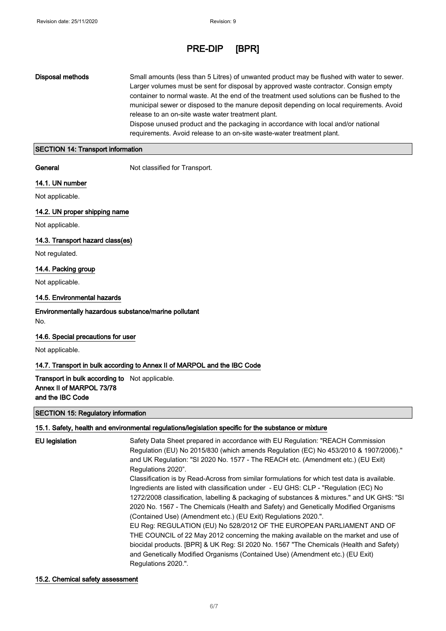Disposal methods Small amounts (less than 5 Litres) of unwanted product may be flushed with water to sewer. Larger volumes must be sent for disposal by approved waste contractor. Consign empty container to normal waste. At the end of the treatment used solutions can be flushed to the municipal sewer or disposed to the manure deposit depending on local requirements. Avoid release to an on-site waste water treatment plant. Dispose unused product and the packaging in accordance with local and/or national

requirements. Avoid release to an on-site waste-water treatment plant.

#### SECTION 14: Transport information

General **General** Not classified for Transport.

#### 14.1. UN number

Not applicable.

14.2. UN proper shipping name

Not applicable.

#### 14.3. Transport hazard class(es)

Not regulated.

## 14.4. Packing group

Not applicable.

## 14.5. Environmental hazards

Environmentally hazardous substance/marine pollutant No.

## 14.6. Special precautions for user

Not applicable.

## 14.7. Transport in bulk according to Annex II of MARPOL and the IBC Code

Transport in bulk according to Not applicable. Annex II of MARPOL 73/78 and the IBC Code

#### SECTION 15: Regulatory information

#### 15.1. Safety, health and environmental regulations/legislation specific for the substance or mixture

| <b>EU</b> legislation | Safety Data Sheet prepared in accordance with EU Regulation: "REACH Commission<br>Regulation (EU) No 2015/830 (which amends Regulation (EC) No 453/2010 & 1907/2006)." |
|-----------------------|------------------------------------------------------------------------------------------------------------------------------------------------------------------------|
|                       | and UK Regulation: "SI 2020 No. 1577 - The REACH etc. (Amendment etc.) (EU Exit)<br>Regulations 2020".                                                                 |
|                       |                                                                                                                                                                        |
|                       | Classification is by Read-Across from similar formulations for which test data is available.                                                                           |
|                       | Ingredients are listed with classification under - EU GHS: CLP - "Regulation (EC) No                                                                                   |
|                       | 1272/2008 classification, labelling & packaging of substances & mixtures." and UK GHS: "SI                                                                             |
|                       | 2020 No. 1567 - The Chemicals (Health and Safety) and Genetically Modified Organisms                                                                                   |
|                       | (Contained Use) (Amendment etc.) (EU Exit) Regulations 2020.".                                                                                                         |
|                       | EU Reg: REGULATION (EU) No 528/2012 OF THE EUROPEAN PARLIAMENT AND OF                                                                                                  |
|                       | THE COUNCIL of 22 May 2012 concerning the making available on the market and use of                                                                                    |
|                       | biocidal products. [BPR] & UK Req: SI 2020 No. 1567 "The Chemicals (Health and Safety)                                                                                 |
|                       | and Genetically Modified Organisms (Contained Use) (Amendment etc.) (EU Exit)                                                                                          |
|                       | Regulations 2020.".                                                                                                                                                    |

#### 15.2. Chemical safety assessment